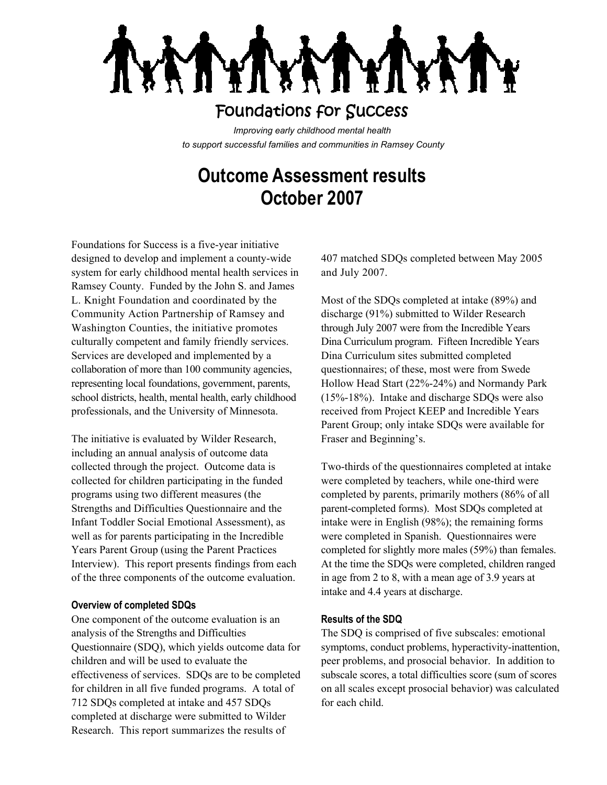## Foundations for Success

*Improving early childhood mental health to support successful families and communities in Ramsey County*

# **Outcome Assessment results October 2007**

Foundations for Success is a five-year initiative designed to develop and implement a county-wide system for early childhood mental health services in Ramsey County. Funded by the John S. and James L. Knight Foundation and coordinated by the Community Action Partnership of Ramsey and Washington Counties, the initiative promotes culturally competent and family friendly services. Services are developed and implemented by a collaboration of more than 100 community agencies, representing local foundations, government, parents, school districts, health, mental health, early childhood professionals, and the University of Minnesota.

The initiative is evaluated by Wilder Research, including an annual analysis of outcome data collected through the project. Outcome data is collected for children participating in the funded programs using two different measures (the Strengths and Difficulties Questionnaire and the Infant Toddler Social Emotional Assessment), as well as for parents participating in the Incredible Years Parent Group (using the Parent Practices Interview). This report presents findings from each of the three components of the outcome evaluation.

#### **Overview of completed SDQs**

One component of the outcome evaluation is an analysis of the Strengths and Difficulties Questionnaire (SDQ), which yields outcome data for children and will be used to evaluate the effectiveness of services. SDQs are to be completed for children in all five funded programs. A total of 712 SDQs completed at intake and 457 SDQs completed at discharge were submitted to Wilder Research. This report summarizes the results of

407 matched SDQs completed between May 2005 and July 2007.

Most of the SDQs completed at intake (89%) and discharge (91%) submitted to Wilder Research through July 2007 were from the Incredible Years Dina Curriculum program. Fifteen Incredible Years Dina Curriculum sites submitted completed questionnaires; of these, most were from Swede Hollow Head Start (22%-24%) and Normandy Park (15%-18%). Intake and discharge SDQs were also received from Project KEEP and Incredible Years Parent Group; only intake SDQs were available for Fraser and Beginning's.

Two-thirds of the questionnaires completed at intake were completed by teachers, while one-third were completed by parents, primarily mothers (86% of all parent-completed forms). Most SDQs completed at intake were in English (98%); the remaining forms were completed in Spanish. Questionnaires were completed for slightly more males (59%) than females. At the time the SDQs were completed, children ranged in age from 2 to 8, with a mean age of 3.9 years at intake and 4.4 years at discharge.

#### **Results of the SDQ**

The SDQ is comprised of five subscales: emotional symptoms, conduct problems, hyperactivity-inattention, peer problems, and prosocial behavior. In addition to subscale scores, a total difficulties score (sum of scores on all scales except prosocial behavior) was calculated for each child.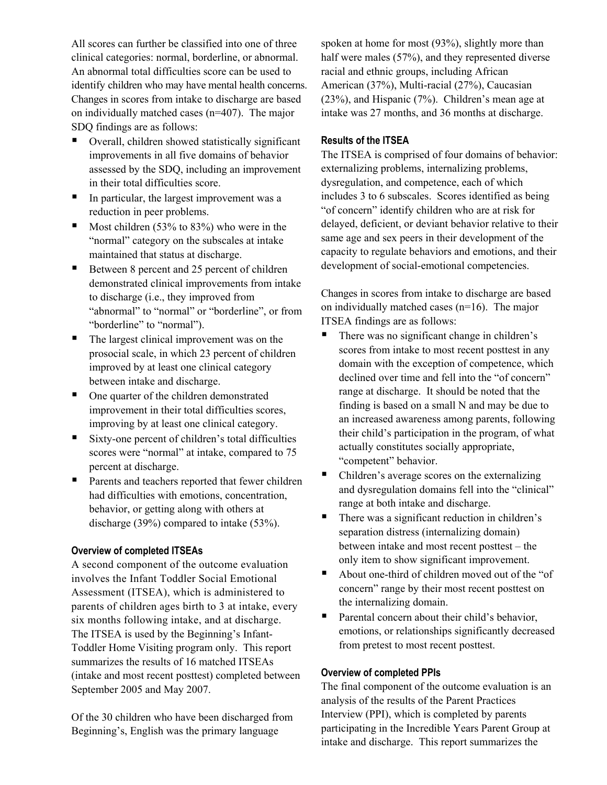All scores can further be classified into one of three clinical categories: normal, borderline, or abnormal. An abnormal total difficulties score can be used to identify children who may have mental health concerns. Changes in scores from intake to discharge are based on individually matched cases (n=407). The major SDQ findings are as follows:

- Overall, children showed statistically significant improvements in all five domains of behavior assessed by the SDQ, including an improvement in their total difficulties score.
- In particular, the largest improvement was a reduction in peer problems.
- Most children  $(53\%$  to  $83\%)$  who were in the "normal" category on the subscales at intake maintained that status at discharge.
- Between 8 percent and 25 percent of children demonstrated clinical improvements from intake to discharge (i.e., they improved from "abnormal" to "normal" or "borderline", or from "borderline" to "normal").
- The largest clinical improvement was on the prosocial scale, in which 23 percent of children improved by at least one clinical category between intake and discharge.
- One quarter of the children demonstrated improvement in their total difficulties scores, improving by at least one clinical category.
- Sixty-one percent of children's total difficulties scores were "normal" at intake, compared to 75 percent at discharge.
- Parents and teachers reported that fewer children had difficulties with emotions, concentration, behavior, or getting along with others at discharge (39%) compared to intake (53%).

### **Overview of completed ITSEAs**

A second component of the outcome evaluation involves the Infant Toddler Social Emotional Assessment (ITSEA), which is administered to parents of children ages birth to 3 at intake, every six months following intake, and at discharge. The ITSEA is used by the Beginning's Infant-Toddler Home Visiting program only. This report summarizes the results of 16 matched ITSEAs (intake and most recent posttest) completed between September 2005 and May 2007.

Of the 30 children who have been discharged from Beginning's, English was the primary language

spoken at home for most (93%), slightly more than half were males (57%), and they represented diverse racial and ethnic groups, including African American (37%), Multi-racial (27%), Caucasian (23%), and Hispanic (7%). Children's mean age at intake was 27 months, and 36 months at discharge.

#### **Results of the ITSEA**

The ITSEA is comprised of four domains of behavior: externalizing problems, internalizing problems, dysregulation, and competence, each of which includes 3 to 6 subscales. Scores identified as being "of concern" identify children who are at risk for delayed, deficient, or deviant behavior relative to their same age and sex peers in their development of the capacity to regulate behaviors and emotions, and their development of social-emotional competencies.

Changes in scores from intake to discharge are based on individually matched cases (n=16). The major ITSEA findings are as follows:

- There was no significant change in children's scores from intake to most recent posttest in any domain with the exception of competence, which declined over time and fell into the "of concern" range at discharge. It should be noted that the finding is based on a small N and may be due to an increased awareness among parents, following their child's participation in the program, of what actually constitutes socially appropriate, "competent" behavior.
- Children's average scores on the externalizing and dysregulation domains fell into the "clinical" range at both intake and discharge.
- There was a significant reduction in children's separation distress (internalizing domain) between intake and most recent posttest – the only item to show significant improvement.
- About one-third of children moved out of the "of concern" range by their most recent posttest on the internalizing domain.
- Parental concern about their child's behavior, emotions, or relationships significantly decreased from pretest to most recent posttest.

### **Overview of completed PPIs**

The final component of the outcome evaluation is an analysis of the results of the Parent Practices Interview (PPI), which is completed by parents participating in the Incredible Years Parent Group at intake and discharge. This report summarizes the